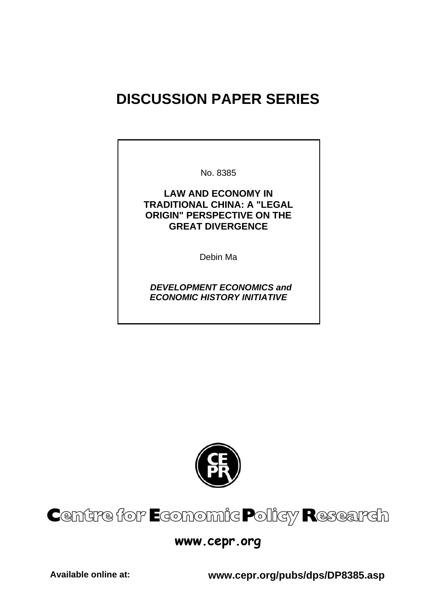# **DISCUSSION PAPER SERIES**

No. 8385

**LAW AND ECONOMY IN TRADITIONAL CHINA: A "LEGAL ORIGIN" PERSPECTIVE ON THE GREAT DIVERGENCE** 

Debin Ma

 *DEVELOPMENT ECONOMICS and ECONOMIC HISTORY INITIATIVE* 





### **www.cepr.org**

**Available online at: www.cepr.org/pubs/dps/DP8385.asp**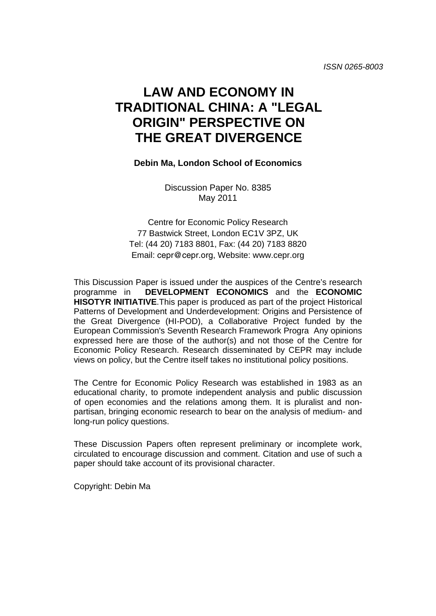## **LAW AND ECONOMY IN TRADITIONAL CHINA: A "LEGAL ORIGIN" PERSPECTIVE ON THE GREAT DIVERGENCE**

#### **Debin Ma, London School of Economics**

Discussion Paper No. 8385 May 2011

Centre for Economic Policy Research 77 Bastwick Street, London EC1V 3PZ, UK Tel: (44 20) 7183 8801, Fax: (44 20) 7183 8820 Email: cepr@cepr.org, Website: www.cepr.org

This Discussion Paper is issued under the auspices of the Centre's research programme in **DEVELOPMENT ECONOMICS** and the **ECONOMIC HISOTYR INITIATIVE**.This paper is produced as part of the project Historical Patterns of Development and Underdevelopment: Origins and Persistence of the Great Divergence (HI-POD), a Collaborative Project funded by the European Commission's Seventh Research Framework Progra Any opinions expressed here are those of the author(s) and not those of the Centre for Economic Policy Research. Research disseminated by CEPR may include views on policy, but the Centre itself takes no institutional policy positions.

The Centre for Economic Policy Research was established in 1983 as an educational charity, to promote independent analysis and public discussion of open economies and the relations among them. It is pluralist and nonpartisan, bringing economic research to bear on the analysis of medium- and long-run policy questions.

These Discussion Papers often represent preliminary or incomplete work, circulated to encourage discussion and comment. Citation and use of such a paper should take account of its provisional character.

Copyright: Debin Ma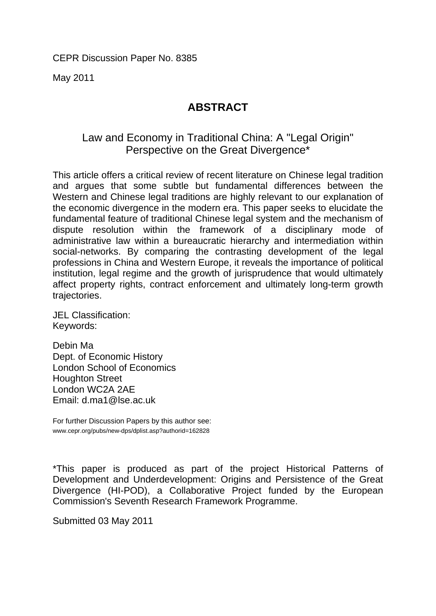May 2011

### **ABSTRACT**

### Law and Economy in Traditional China: A "Legal Origin" Perspective on the Great Divergence\*

This article offers a critical review of recent literature on Chinese legal tradition and argues that some subtle but fundamental differences between the Western and Chinese legal traditions are highly relevant to our explanation of the economic divergence in the modern era. This paper seeks to elucidate the fundamental feature of traditional Chinese legal system and the mechanism of dispute resolution within the framework of a disciplinary mode of administrative law within a bureaucratic hierarchy and intermediation within social-networks. By comparing the contrasting development of the legal professions in China and Western Europe, it reveals the importance of political institution, legal regime and the growth of jurisprudence that would ultimately affect property rights, contract enforcement and ultimately long-term growth trajectories.

JEL Classification: Keywords:

Debin Ma Dept. of Economic History London School of Economics Houghton Street London WC2A 2AE Email: d.ma1@lse.ac.uk

For further Discussion Papers by this author see: www.cepr.org/pubs/new-dps/dplist.asp?authorid=162828

\*This paper is produced as part of the project Historical Patterns of Development and Underdevelopment: Origins and Persistence of the Great Divergence (HI-POD), a Collaborative Project funded by the European Commission's Seventh Research Framework Programme.

Submitted 03 May 2011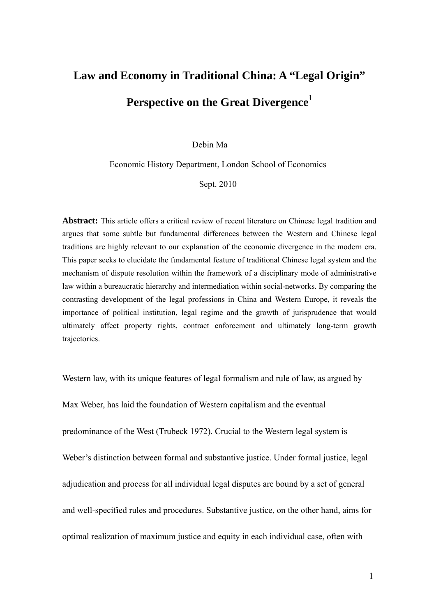# **Law and Economy in Traditional China: A "Legal Origin"**  Perspective on the Great Divergence<sup>1</sup>

Debin Ma

Economic History Department, London School of Economics

Sept. 2010

**Abstract:** This article offers a critical review of recent literature on Chinese legal tradition and argues that some subtle but fundamental differences between the Western and Chinese legal traditions are highly relevant to our explanation of the economic divergence in the modern era. This paper seeks to elucidate the fundamental feature of traditional Chinese legal system and the mechanism of dispute resolution within the framework of a disciplinary mode of administrative law within a bureaucratic hierarchy and intermediation within social-networks. By comparing the contrasting development of the legal professions in China and Western Europe, it reveals the importance of political institution, legal regime and the growth of jurisprudence that would ultimately affect property rights, contract enforcement and ultimately long-term growth trajectories.

Western law, with its unique features of legal formalism and rule of law, as argued by

Max Weber, has laid the foundation of Western capitalism and the eventual predominance of the West (Trubeck 1972). Crucial to the Western legal system is Weber's distinction between formal and substantive justice. Under formal justice, legal adjudication and process for all individual legal disputes are bound by a set of general and well-specified rules and procedures. Substantive justice, on the other hand, aims for optimal realization of maximum justice and equity in each individual case, often with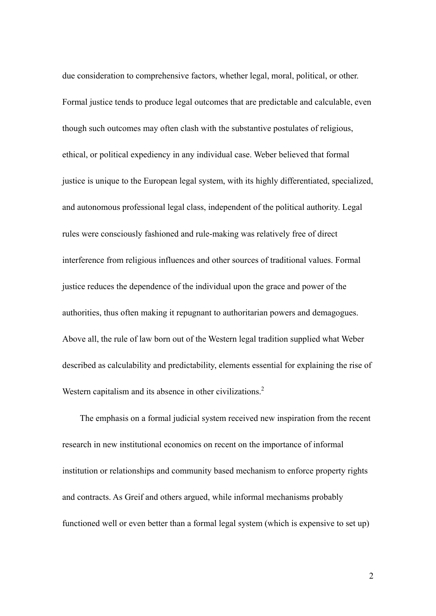due consideration to comprehensive factors, whether legal, moral, political, or other. Formal justice tends to produce legal outcomes that are predictable and calculable, even though such outcomes may often clash with the substantive postulates of religious, ethical, or political expediency in any individual case. Weber believed that formal justice is unique to the European legal system, with its highly differentiated, specialized, and autonomous professional legal class, independent of the political authority. Legal rules were consciously fashioned and rule-making was relatively free of direct interference from religious influences and other sources of traditional values. Formal justice reduces the dependence of the individual upon the grace and power of the authorities, thus often making it repugnant to authoritarian powers and demagogues. Above all, the rule of law born out of the Western legal tradition supplied what Weber described as calculability and predictability, elements essential for explaining the rise of Western capitalism and its absence in other civilizations.<sup>2</sup>

 The emphasis on a formal judicial system received new inspiration from the recent research in new institutional economics on recent on the importance of informal institution or relationships and community based mechanism to enforce property rights and contracts. As Greif and others argued, while informal mechanisms probably functioned well or even better than a formal legal system (which is expensive to set up)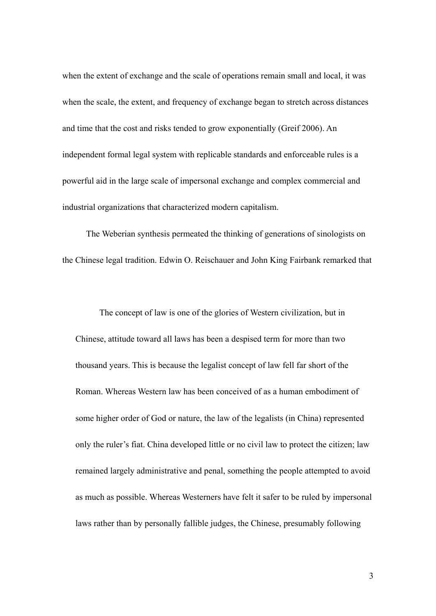when the extent of exchange and the scale of operations remain small and local, it was when the scale, the extent, and frequency of exchange began to stretch across distances and time that the cost and risks tended to grow exponentially (Greif 2006). An independent formal legal system with replicable standards and enforceable rules is a powerful aid in the large scale of impersonal exchange and complex commercial and industrial organizations that characterized modern capitalism.

The Weberian synthesis permeated the thinking of generations of sinologists on the Chinese legal tradition. Edwin O. Reischauer and John King Fairbank remarked that

The concept of law is one of the glories of Western civilization, but in Chinese, attitude toward all laws has been a despised term for more than two thousand years. This is because the legalist concept of law fell far short of the Roman. Whereas Western law has been conceived of as a human embodiment of some higher order of God or nature, the law of the legalists (in China) represented only the ruler's fiat. China developed little or no civil law to protect the citizen; law remained largely administrative and penal, something the people attempted to avoid as much as possible. Whereas Westerners have felt it safer to be ruled by impersonal laws rather than by personally fallible judges, the Chinese, presumably following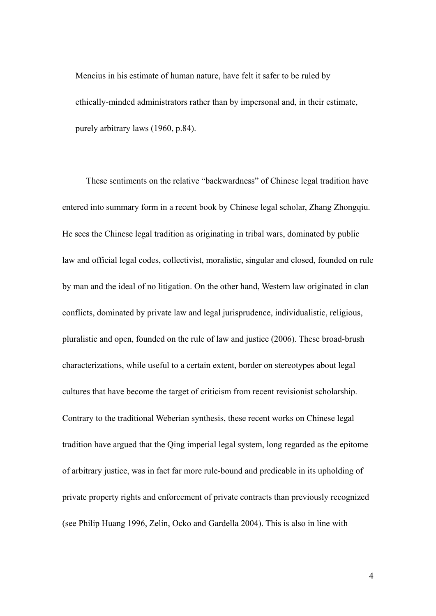Mencius in his estimate of human nature, have felt it safer to be ruled by ethically-minded administrators rather than by impersonal and, in their estimate, purely arbitrary laws (1960, p.84).

These sentiments on the relative "backwardness" of Chinese legal tradition have entered into summary form in a recent book by Chinese legal scholar, Zhang Zhongqiu. He sees the Chinese legal tradition as originating in tribal wars, dominated by public law and official legal codes, collectivist, moralistic, singular and closed, founded on rule by man and the ideal of no litigation. On the other hand, Western law originated in clan conflicts, dominated by private law and legal jurisprudence, individualistic, religious, pluralistic and open, founded on the rule of law and justice (2006). These broad-brush characterizations, while useful to a certain extent, border on stereotypes about legal cultures that have become the target of criticism from recent revisionist scholarship. Contrary to the traditional Weberian synthesis, these recent works on Chinese legal tradition have argued that the Qing imperial legal system, long regarded as the epitome of arbitrary justice, was in fact far more rule-bound and predicable in its upholding of private property rights and enforcement of private contracts than previously recognized (see Philip Huang 1996, Zelin, Ocko and Gardella 2004). This is also in line with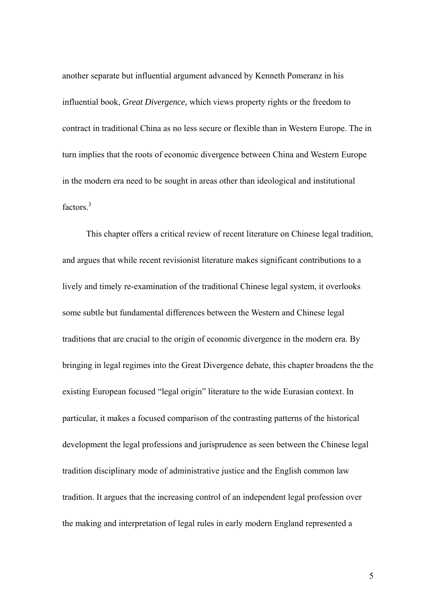another separate but influential argument advanced by Kenneth Pomeranz in his influential book, *Great Divergence,* which views property rights or the freedom to contract in traditional China as no less secure or flexible than in Western Europe. The in turn implies that the roots of economic divergence between China and Western Europe in the modern era need to be sought in areas other than ideological and institutional factors.<sup>3</sup>

This chapter offers a critical review of recent literature on Chinese legal tradition, and argues that while recent revisionist literature makes significant contributions to a lively and timely re-examination of the traditional Chinese legal system, it overlooks some subtle but fundamental differences between the Western and Chinese legal traditions that are crucial to the origin of economic divergence in the modern era. By bringing in legal regimes into the Great Divergence debate, this chapter broadens the the existing European focused "legal origin" literature to the wide Eurasian context. In particular, it makes a focused comparison of the contrasting patterns of the historical development the legal professions and jurisprudence as seen between the Chinese legal tradition disciplinary mode of administrative justice and the English common law tradition. It argues that the increasing control of an independent legal profession over the making and interpretation of legal rules in early modern England represented a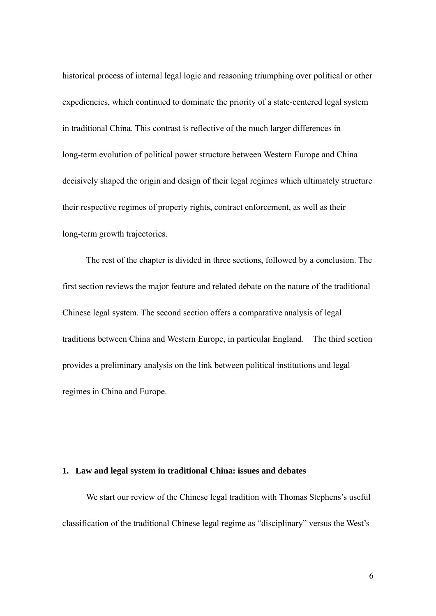historical process of internal legal logic and reasoning triumphing over political or other expediencies, which continued to dominate the priority of a state-centered legal system in traditional China. This contrast is reflective of the much larger differences in long-term evolution of political power structure between Western Europe and China decisively shaped the origin and design of their legal regimes which ultimately structure their respective regimes of property rights, contract enforcement, as well as their long-term growth trajectories.

The rest of the chapter is divided in three sections, followed by a conclusion. The first section reviews the major feature and related debate on the nature of the traditional Chinese legal system. The second section offers a comparative analysis of legal traditions between China and Western Europe, in particular England. The third section provides a preliminary analysis on the link between political institutions and legal regimes in China and Europe.

#### **1. Law and legal system in traditional China: issues and debates**

We start our review of the Chinese legal tradition with Thomas Stephens's useful classification of the traditional Chinese legal regime as "disciplinary" versus the West's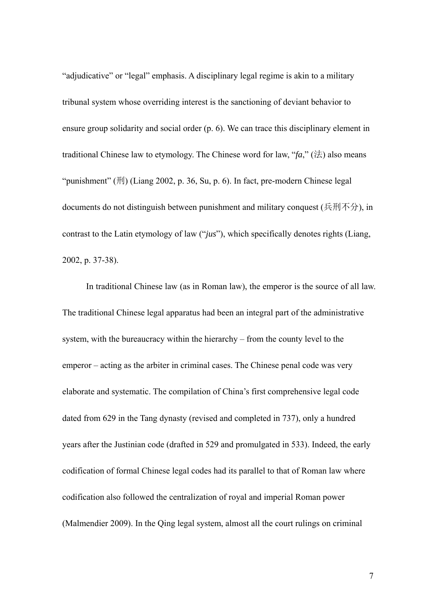"adjudicative" or "legal" emphasis. A disciplinary legal regime is akin to a military tribunal system whose overriding interest is the sanctioning of deviant behavior to ensure group solidarity and social order (p. 6). We can trace this disciplinary element in traditional Chinese law to etymology. The Chinese word for law, " $fa$ ," ( $\forall$  $\pm$ ) also means "punishment"  $(H)$  (Liang 2002, p. 36, Su, p. 6). In fact, pre-modern Chinese legal documents do not distinguish between punishment and military conquest (兵刑不分), in contrast to the Latin etymology of law ("*jus*"), which specifically denotes rights (Liang, 2002, p. 37-38).

In traditional Chinese law (as in Roman law), the emperor is the source of all law. The traditional Chinese legal apparatus had been an integral part of the administrative system, with the bureaucracy within the hierarchy – from the county level to the emperor – acting as the arbiter in criminal cases. The Chinese penal code was very elaborate and systematic. The compilation of China's first comprehensive legal code dated from 629 in the Tang dynasty (revised and completed in 737), only a hundred years after the Justinian code (drafted in 529 and promulgated in 533). Indeed, the early codification of formal Chinese legal codes had its parallel to that of Roman law where codification also followed the centralization of royal and imperial Roman power (Malmendier 2009). In the Qing legal system, almost all the court rulings on criminal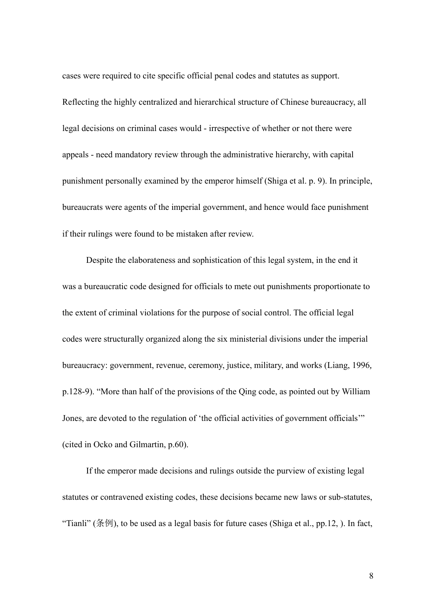cases were required to cite specific official penal codes and statutes as support.

Reflecting the highly centralized and hierarchical structure of Chinese bureaucracy, all legal decisions on criminal cases would - irrespective of whether or not there were appeals - need mandatory review through the administrative hierarchy, with capital punishment personally examined by the emperor himself (Shiga et al. p. 9). In principle, bureaucrats were agents of the imperial government, and hence would face punishment if their rulings were found to be mistaken after review.

Despite the elaborateness and sophistication of this legal system, in the end it was a bureaucratic code designed for officials to mete out punishments proportionate to the extent of criminal violations for the purpose of social control. The official legal codes were structurally organized along the six ministerial divisions under the imperial bureaucracy: government, revenue, ceremony, justice, military, and works (Liang, 1996*,*  p.128-9). "More than half of the provisions of the Qing code, as pointed out by William Jones, are devoted to the regulation of 'the official activities of government officials'" (cited in Ocko and Gilmartin, p.60).

If the emperor made decisions and rulings outside the purview of existing legal statutes or contravened existing codes, these decisions became new laws or sub-statutes, "Tianli" (条例), to be used as a legal basis for future cases (Shiga et al., pp.12, ). In fact,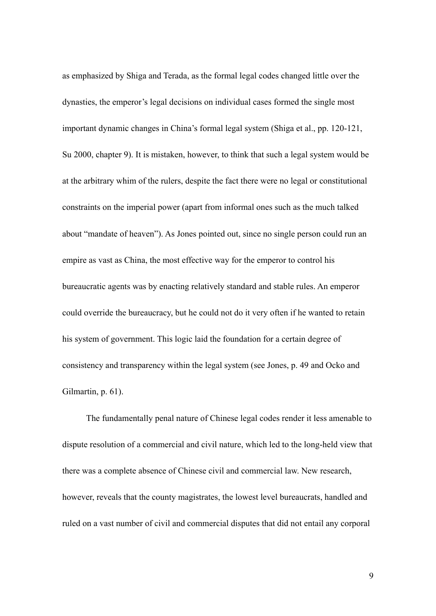as emphasized by Shiga and Terada, as the formal legal codes changed little over the dynasties, the emperor's legal decisions on individual cases formed the single most important dynamic changes in China's formal legal system (Shiga et al., pp. 120-121, Su 2000, chapter 9). It is mistaken, however, to think that such a legal system would be at the arbitrary whim of the rulers, despite the fact there were no legal or constitutional constraints on the imperial power (apart from informal ones such as the much talked about "mandate of heaven"). As Jones pointed out, since no single person could run an empire as vast as China, the most effective way for the emperor to control his bureaucratic agents was by enacting relatively standard and stable rules. An emperor could override the bureaucracy, but he could not do it very often if he wanted to retain his system of government. This logic laid the foundation for a certain degree of consistency and transparency within the legal system (see Jones, p. 49 and Ocko and Gilmartin, p. 61).

The fundamentally penal nature of Chinese legal codes render it less amenable to dispute resolution of a commercial and civil nature, which led to the long-held view that there was a complete absence of Chinese civil and commercial law. New research, however, reveals that the county magistrates, the lowest level bureaucrats, handled and ruled on a vast number of civil and commercial disputes that did not entail any corporal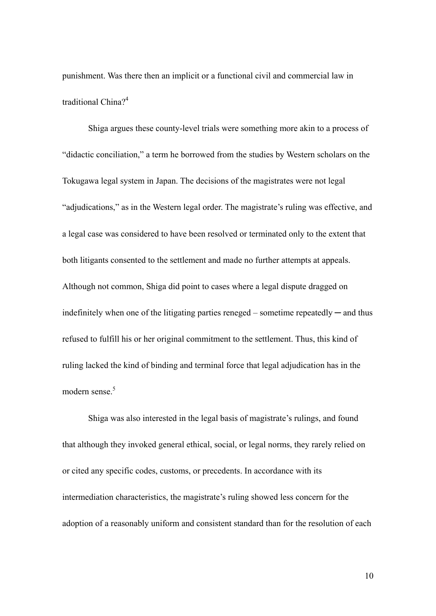punishment. Was there then an implicit or a functional civil and commercial law in traditional China?<sup>4</sup>

Shiga argues these county-level trials were something more akin to a process of "didactic conciliation," a term he borrowed from the studies by Western scholars on the Tokugawa legal system in Japan. The decisions of the magistrates were not legal "adjudications," as in the Western legal order. The magistrate's ruling was effective, and a legal case was considered to have been resolved or terminated only to the extent that both litigants consented to the settlement and made no further attempts at appeals. Although not common, Shiga did point to cases where a legal dispute dragged on indefinitely when one of the litigating parties reneged – sometime repeatedly — and thus refused to fulfill his or her original commitment to the settlement. Thus, this kind of ruling lacked the kind of binding and terminal force that legal adjudication has in the modern sense.<sup>5</sup>

Shiga was also interested in the legal basis of magistrate's rulings, and found that although they invoked general ethical, social, or legal norms, they rarely relied on or cited any specific codes, customs, or precedents. In accordance with its intermediation characteristics, the magistrate's ruling showed less concern for the adoption of a reasonably uniform and consistent standard than for the resolution of each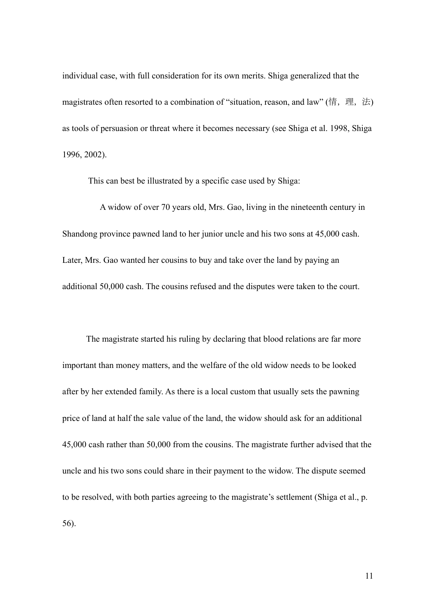individual case, with full consideration for its own merits. Shiga generalized that the magistrates often resorted to a combination of "situation, reason, and law" (情, 理, 法) as tools of persuasion or threat where it becomes necessary (see Shiga et al. 1998, Shiga 1996, 2002).

This can best be illustrated by a specific case used by Shiga:

A widow of over 70 years old, Mrs. Gao, living in the nineteenth century in Shandong province pawned land to her junior uncle and his two sons at 45,000 cash. Later, Mrs. Gao wanted her cousins to buy and take over the land by paying an additional 50,000 cash. The cousins refused and the disputes were taken to the court.

The magistrate started his ruling by declaring that blood relations are far more important than money matters, and the welfare of the old widow needs to be looked after by her extended family. As there is a local custom that usually sets the pawning price of land at half the sale value of the land, the widow should ask for an additional 45,000 cash rather than 50,000 from the cousins. The magistrate further advised that the uncle and his two sons could share in their payment to the widow. The dispute seemed to be resolved, with both parties agreeing to the magistrate's settlement (Shiga et al., p. 56).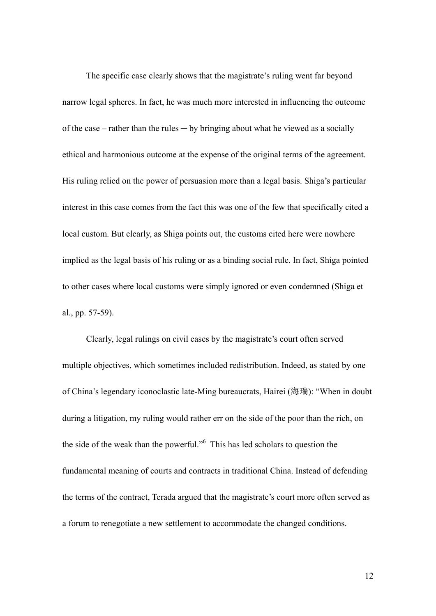The specific case clearly shows that the magistrate's ruling went far beyond narrow legal spheres. In fact, he was much more interested in influencing the outcome of the case – rather than the rules  $-$  by bringing about what he viewed as a socially ethical and harmonious outcome at the expense of the original terms of the agreement. His ruling relied on the power of persuasion more than a legal basis. Shiga's particular interest in this case comes from the fact this was one of the few that specifically cited a local custom. But clearly, as Shiga points out, the customs cited here were nowhere implied as the legal basis of his ruling or as a binding social rule. In fact, Shiga pointed to other cases where local customs were simply ignored or even condemned (Shiga et al., pp. 57-59).

Clearly, legal rulings on civil cases by the magistrate's court often served multiple objectives, which sometimes included redistribution. Indeed, as stated by one of China's legendary iconoclastic late-Ming bureaucrats, Hairei (海瑞): "When in doubt during a litigation, my ruling would rather err on the side of the poor than the rich, on the side of the weak than the powerful."<sup>6</sup> This has led scholars to question the fundamental meaning of courts and contracts in traditional China. Instead of defending the terms of the contract, Terada argued that the magistrate's court more often served as a forum to renegotiate a new settlement to accommodate the changed conditions.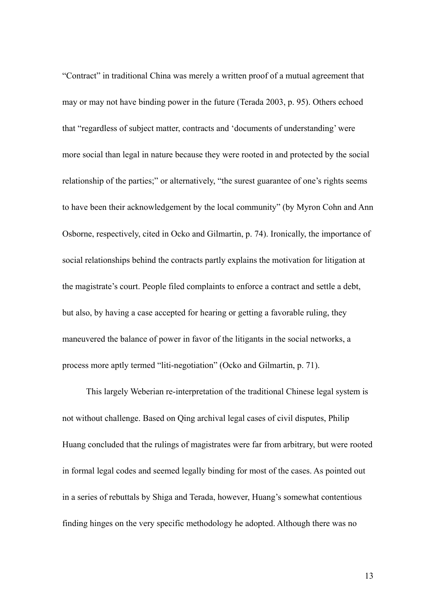"Contract" in traditional China was merely a written proof of a mutual agreement that may or may not have binding power in the future (Terada 2003, p. 95). Others echoed that "regardless of subject matter, contracts and 'documents of understanding' were more social than legal in nature because they were rooted in and protected by the social relationship of the parties;" or alternatively, "the surest guarantee of one's rights seems to have been their acknowledgement by the local community" (by Myron Cohn and Ann Osborne, respectively, cited in Ocko and Gilmartin, p. 74). Ironically, the importance of social relationships behind the contracts partly explains the motivation for litigation at the magistrate's court. People filed complaints to enforce a contract and settle a debt, but also, by having a case accepted for hearing or getting a favorable ruling, they maneuvered the balance of power in favor of the litigants in the social networks, a process more aptly termed "liti-negotiation" (Ocko and Gilmartin, p. 71).

This largely Weberian re-interpretation of the traditional Chinese legal system is not without challenge. Based on Qing archival legal cases of civil disputes, Philip Huang concluded that the rulings of magistrates were far from arbitrary, but were rooted in formal legal codes and seemed legally binding for most of the cases. As pointed out in a series of rebuttals by Shiga and Terada, however, Huang's somewhat contentious finding hinges on the very specific methodology he adopted. Although there was no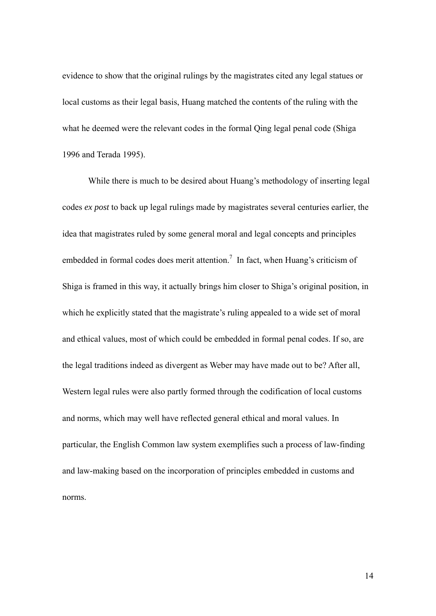evidence to show that the original rulings by the magistrates cited any legal statues or local customs as their legal basis, Huang matched the contents of the ruling with the what he deemed were the relevant codes in the formal Qing legal penal code (Shiga 1996 and Terada 1995).

While there is much to be desired about Huang's methodology of inserting legal codes *ex post* to back up legal rulings made by magistrates several centuries earlier, the idea that magistrates ruled by some general moral and legal concepts and principles embedded in formal codes does merit attention.<sup>7</sup> In fact, when Huang's criticism of Shiga is framed in this way, it actually brings him closer to Shiga's original position, in which he explicitly stated that the magistrate's ruling appealed to a wide set of moral and ethical values, most of which could be embedded in formal penal codes. If so, are the legal traditions indeed as divergent as Weber may have made out to be? After all, Western legal rules were also partly formed through the codification of local customs and norms, which may well have reflected general ethical and moral values. In particular, the English Common law system exemplifies such a process of law-finding and law-making based on the incorporation of principles embedded in customs and norms.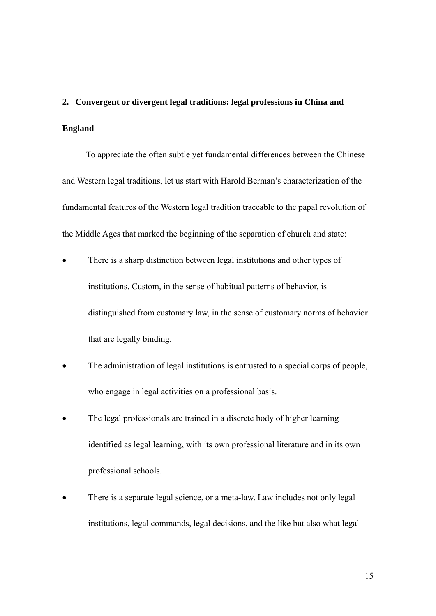## **2. Convergent or divergent legal traditions: legal professions in China and England**

To appreciate the often subtle yet fundamental differences between the Chinese and Western legal traditions, let us start with Harold Berman's characterization of the fundamental features of the Western legal tradition traceable to the papal revolution of the Middle Ages that marked the beginning of the separation of church and state:

- There is a sharp distinction between legal institutions and other types of institutions. Custom, in the sense of habitual patterns of behavior, is distinguished from customary law, in the sense of customary norms of behavior that are legally binding.
- The administration of legal institutions is entrusted to a special corps of people, who engage in legal activities on a professional basis.
- The legal professionals are trained in a discrete body of higher learning identified as legal learning, with its own professional literature and in its own professional schools.
- There is a separate legal science, or a meta-law. Law includes not only legal institutions, legal commands, legal decisions, and the like but also what legal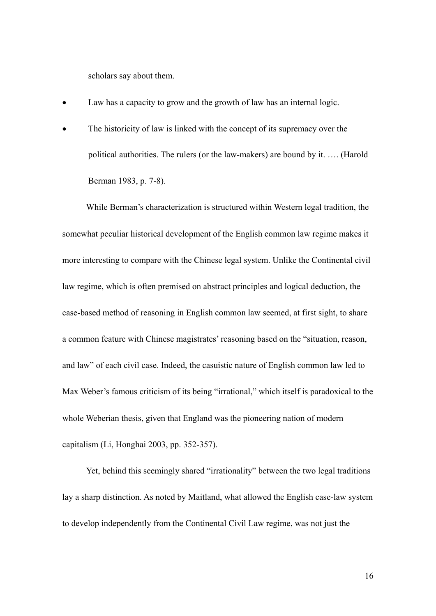scholars say about them.

- Law has a capacity to grow and the growth of law has an internal logic.
- The historicity of law is linked with the concept of its supremacy over the political authorities. The rulers (or the law-makers) are bound by it. …. (Harold Berman 1983, p. 7-8).

While Berman's characterization is structured within Western legal tradition, the somewhat peculiar historical development of the English common law regime makes it more interesting to compare with the Chinese legal system. Unlike the Continental civil law regime, which is often premised on abstract principles and logical deduction, the case-based method of reasoning in English common law seemed, at first sight, to share a common feature with Chinese magistrates' reasoning based on the "situation, reason, and law" of each civil case. Indeed, the casuistic nature of English common law led to Max Weber's famous criticism of its being "irrational," which itself is paradoxical to the whole Weberian thesis, given that England was the pioneering nation of modern capitalism (Li, Honghai 2003, pp. 352-357).

Yet, behind this seemingly shared "irrationality" between the two legal traditions lay a sharp distinction. As noted by Maitland, what allowed the English case-law system to develop independently from the Continental Civil Law regime, was not just the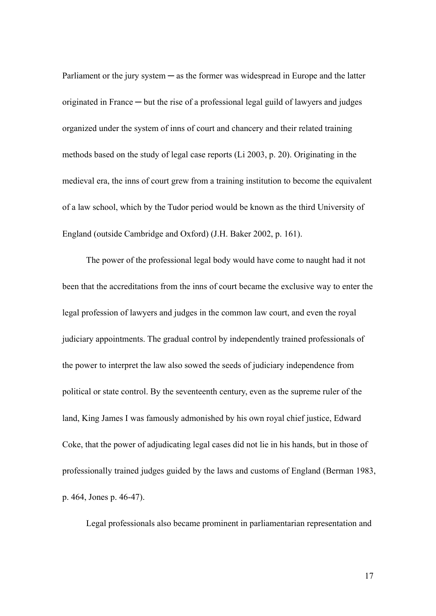Parliament or the jury system  $-\infty$  as the former was widespread in Europe and the latter originated in France ─ but the rise of a professional legal guild of lawyers and judges organized under the system of inns of court and chancery and their related training methods based on the study of legal case reports (Li 2003, p. 20). Originating in the medieval era, the inns of court grew from a training institution to become the equivalent of a law school, which by the Tudor period would be known as the third University of England (outside Cambridge and Oxford) (J.H. Baker 2002, p. 161).

The power of the professional legal body would have come to naught had it not been that the accreditations from the inns of court became the exclusive way to enter the legal profession of lawyers and judges in the common law court, and even the royal judiciary appointments. The gradual control by independently trained professionals of the power to interpret the law also sowed the seeds of judiciary independence from political or state control. By the seventeenth century, even as the supreme ruler of the land, King James I was famously admonished by his own royal chief justice, Edward Coke, that the power of adjudicating legal cases did not lie in his hands, but in those of professionally trained judges guided by the laws and customs of England (Berman 1983, p. 464, Jones p. 46-47).

Legal professionals also became prominent in parliamentarian representation and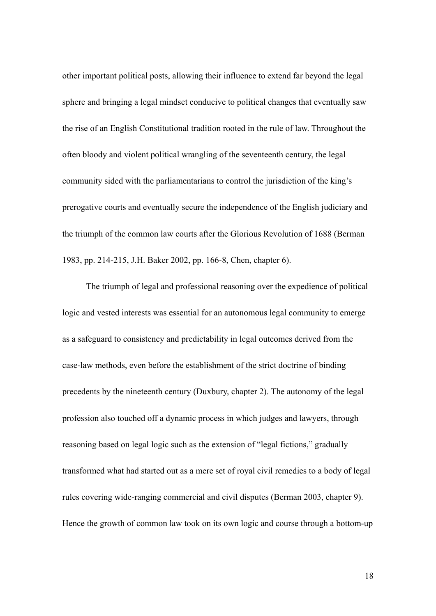other important political posts, allowing their influence to extend far beyond the legal sphere and bringing a legal mindset conducive to political changes that eventually saw the rise of an English Constitutional tradition rooted in the rule of law. Throughout the often bloody and violent political wrangling of the seventeenth century, the legal community sided with the parliamentarians to control the jurisdiction of the king's prerogative courts and eventually secure the independence of the English judiciary and the triumph of the common law courts after the Glorious Revolution of 1688 (Berman 1983, pp. 214-215, J.H. Baker 2002, pp. 166-8, Chen, chapter 6).

The triumph of legal and professional reasoning over the expedience of political logic and vested interests was essential for an autonomous legal community to emerge as a safeguard to consistency and predictability in legal outcomes derived from the case-law methods, even before the establishment of the strict doctrine of binding precedents by the nineteenth century (Duxbury, chapter 2). The autonomy of the legal profession also touched off a dynamic process in which judges and lawyers, through reasoning based on legal logic such as the extension of "legal fictions," gradually transformed what had started out as a mere set of royal civil remedies to a body of legal rules covering wide-ranging commercial and civil disputes (Berman 2003, chapter 9). Hence the growth of common law took on its own logic and course through a bottom-up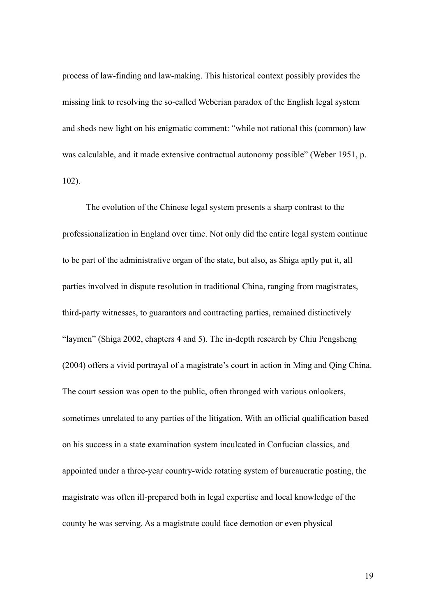process of law-finding and law-making. This historical context possibly provides the missing link to resolving the so-called Weberian paradox of the English legal system and sheds new light on his enigmatic comment: "while not rational this (common) law was calculable, and it made extensive contractual autonomy possible" (Weber 1951, p. 102).

The evolution of the Chinese legal system presents a sharp contrast to the professionalization in England over time. Not only did the entire legal system continue to be part of the administrative organ of the state, but also, as Shiga aptly put it, all parties involved in dispute resolution in traditional China, ranging from magistrates, third-party witnesses, to guarantors and contracting parties, remained distinctively "laymen" (Shiga 2002, chapters 4 and 5). The in-depth research by Chiu Pengsheng (2004) offers a vivid portrayal of a magistrate's court in action in Ming and Qing China. The court session was open to the public, often thronged with various onlookers, sometimes unrelated to any parties of the litigation. With an official qualification based on his success in a state examination system inculcated in Confucian classics, and appointed under a three-year country-wide rotating system of bureaucratic posting, the magistrate was often ill-prepared both in legal expertise and local knowledge of the county he was serving. As a magistrate could face demotion or even physical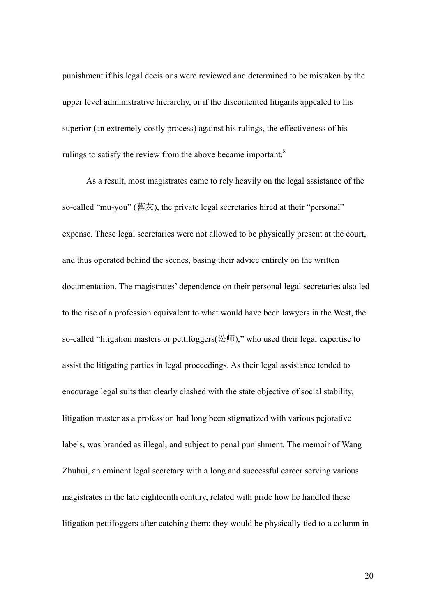punishment if his legal decisions were reviewed and determined to be mistaken by the upper level administrative hierarchy, or if the discontented litigants appealed to his superior (an extremely costly process) against his rulings, the effectiveness of his rulings to satisfy the review from the above became important. $8$ 

As a result, most magistrates came to rely heavily on the legal assistance of the so-called "mu-you" (幕友), the private legal secretaries hired at their "personal" expense. These legal secretaries were not allowed to be physically present at the court, and thus operated behind the scenes, basing their advice entirely on the written documentation. The magistrates' dependence on their personal legal secretaries also led to the rise of a profession equivalent to what would have been lawyers in the West, the so-called "litigation masters or pettifoggers(讼师)," who used their legal expertise to assist the litigating parties in legal proceedings. As their legal assistance tended to encourage legal suits that clearly clashed with the state objective of social stability, litigation master as a profession had long been stigmatized with various pejorative labels, was branded as illegal, and subject to penal punishment. The memoir of Wang Zhuhui, an eminent legal secretary with a long and successful career serving various magistrates in the late eighteenth century, related with pride how he handled these litigation pettifoggers after catching them: they would be physically tied to a column in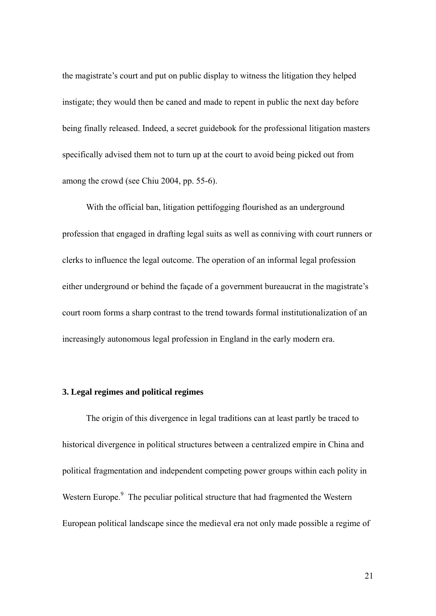the magistrate's court and put on public display to witness the litigation they helped instigate; they would then be caned and made to repent in public the next day before being finally released. Indeed, a secret guidebook for the professional litigation masters specifically advised them not to turn up at the court to avoid being picked out from among the crowd (see Chiu 2004, pp. 55-6).

With the official ban, litigation pettifogging flourished as an underground profession that engaged in drafting legal suits as well as conniving with court runners or clerks to influence the legal outcome. The operation of an informal legal profession either underground or behind the façade of a government bureaucrat in the magistrate's court room forms a sharp contrast to the trend towards formal institutionalization of an increasingly autonomous legal profession in England in the early modern era.

#### **3. Legal regimes and political regimes**

The origin of this divergence in legal traditions can at least partly be traced to historical divergence in political structures between a centralized empire in China and political fragmentation and independent competing power groups within each polity in Western Europe.<sup>9</sup> The peculiar political structure that had fragmented the Western European political landscape since the medieval era not only made possible a regime of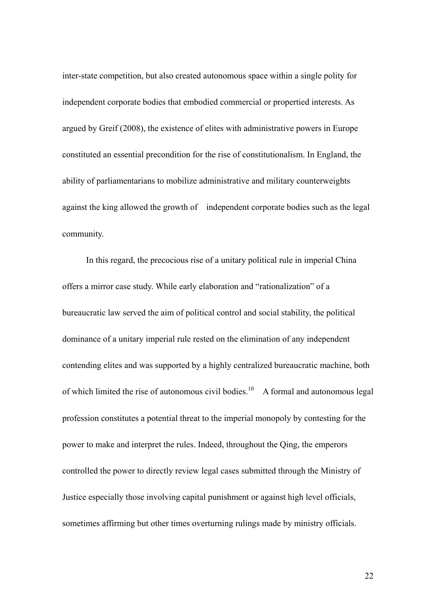inter-state competition, but also created autonomous space within a single polity for independent corporate bodies that embodied commercial or propertied interests. As argued by Greif (2008), the existence of elites with administrative powers in Europe constituted an essential precondition for the rise of constitutionalism. In England, the ability of parliamentarians to mobilize administrative and military counterweights against the king allowed the growth of independent corporate bodies such as the legal community.

In this regard, the precocious rise of a unitary political rule in imperial China offers a mirror case study. While early elaboration and "rationalization" of a bureaucratic law served the aim of political control and social stability, the political dominance of a unitary imperial rule rested on the elimination of any independent contending elites and was supported by a highly centralized bureaucratic machine, both of which limited the rise of autonomous civil bodies.<sup>10</sup> A formal and autonomous legal profession constitutes a potential threat to the imperial monopoly by contesting for the power to make and interpret the rules. Indeed, throughout the Qing, the emperors controlled the power to directly review legal cases submitted through the Ministry of Justice especially those involving capital punishment or against high level officials, sometimes affirming but other times overturning rulings made by ministry officials.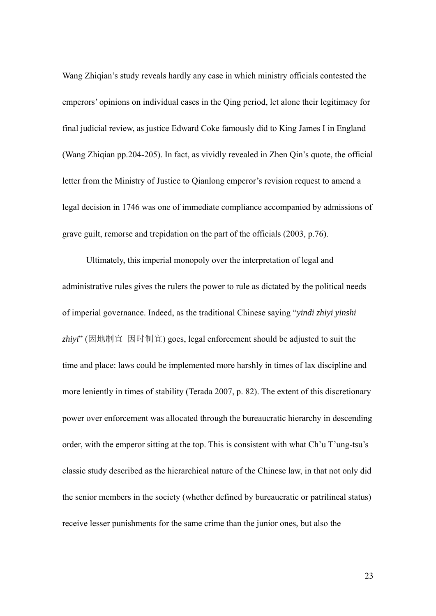Wang Zhiqian's study reveals hardly any case in which ministry officials contested the emperors' opinions on individual cases in the Qing period, let alone their legitimacy for final judicial review, as justice Edward Coke famously did to King James I in England (Wang Zhiqian pp.204-205). In fact, as vividly revealed in Zhen Qin's quote, the official letter from the Ministry of Justice to Qianlong emperor's revision request to amend a legal decision in 1746 was one of immediate compliance accompanied by admissions of grave guilt, remorse and trepidation on the part of the officials (2003, p.76).

Ultimately, this imperial monopoly over the interpretation of legal and administrative rules gives the rulers the power to rule as dictated by the political needs of imperial governance. Indeed, as the traditional Chinese saying "*yindi zhiyi yinshi zhiyi*" (因地制宜 因时制宜) goes, legal enforcement should be adjusted to suit the time and place: laws could be implemented more harshly in times of lax discipline and more leniently in times of stability (Terada 2007, p. 82). The extent of this discretionary power over enforcement was allocated through the bureaucratic hierarchy in descending order, with the emperor sitting at the top. This is consistent with what Ch'u T'ung-tsu's classic study described as the hierarchical nature of the Chinese law, in that not only did the senior members in the society (whether defined by bureaucratic or patrilineal status) receive lesser punishments for the same crime than the junior ones, but also the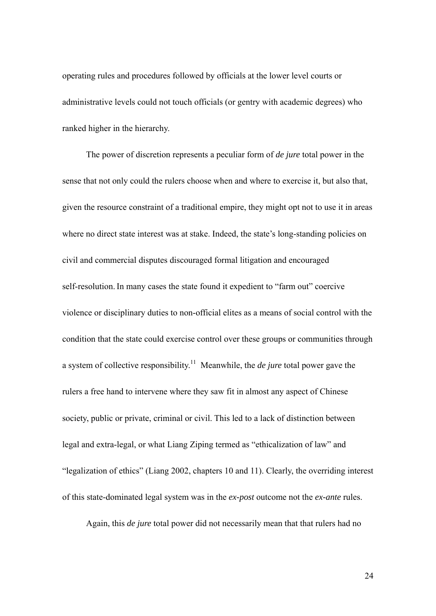operating rules and procedures followed by officials at the lower level courts or administrative levels could not touch officials (or gentry with academic degrees) who ranked higher in the hierarchy.

The power of discretion represents a peculiar form of *de jure* total power in the sense that not only could the rulers choose when and where to exercise it, but also that, given the resource constraint of a traditional empire, they might opt not to use it in areas where no direct state interest was at stake. Indeed, the state's long-standing policies on civil and commercial disputes discouraged formal litigation and encouraged self-resolution. In many cases the state found it expedient to "farm out" coercive violence or disciplinary duties to non-official elites as a means of social control with the condition that the state could exercise control over these groups or communities through a system of collective responsibility.11 Meanwhile, the *de jure* total power gave the rulers a free hand to intervene where they saw fit in almost any aspect of Chinese society, public or private, criminal or civil. This led to a lack of distinction between legal and extra-legal, or what Liang Ziping termed as "ethicalization of law" and "legalization of ethics" (Liang 2002, chapters 10 and 11). Clearly, the overriding interest of this state-dominated legal system was in the *ex-post* outcome not the *ex-ante* rules.

Again, this *de jure* total power did not necessarily mean that that rulers had no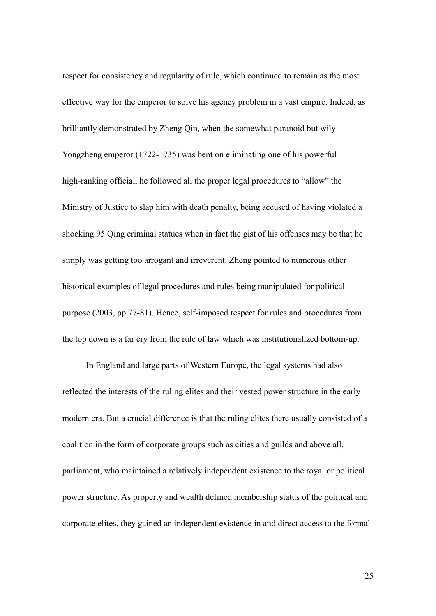respect for consistency and regularity of rule, which continued to remain as the most effective way for the emperor to solve his agency problem in a vast empire. Indeed, as brilliantly demonstrated by Zheng Qin, when the somewhat paranoid but wily Yongzheng emperor (1722-1735) was bent on eliminating one of his powerful high-ranking official, he followed all the proper legal procedures to "allow" the Ministry of Justice to slap him with death penalty, being accused of having violated a shocking 95 Qing criminal statues when in fact the gist of his offenses may be that he simply was getting too arrogant and irreverent. Zheng pointed to numerous other historical examples of legal procedures and rules being manipulated for political purpose (2003, pp.77-81). Hence, self-imposed respect for rules and procedures from the top down is a far cry from the rule of law which was institutionalized bottom-up.

In England and large parts of Western Europe, the legal systems had also reflected the interests of the ruling elites and their vested power structure in the early modern era. But a crucial difference is that the ruling elites there usually consisted of a coalition in the form of corporate groups such as cities and guilds and above all, parliament, who maintained a relatively independent existence to the royal or political power structure. As property and wealth defined membership status of the political and corporate elites, they gained an independent existence in and direct access to the formal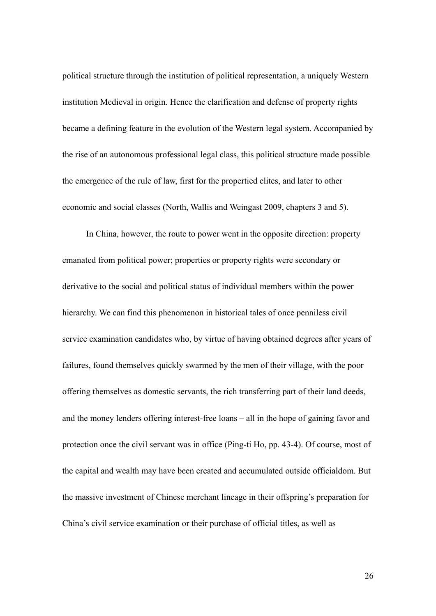political structure through the institution of political representation, a uniquely Western institution Medieval in origin. Hence the clarification and defense of property rights became a defining feature in the evolution of the Western legal system. Accompanied by the rise of an autonomous professional legal class, this political structure made possible the emergence of the rule of law, first for the propertied elites, and later to other economic and social classes (North, Wallis and Weingast 2009, chapters 3 and 5).

In China, however, the route to power went in the opposite direction: property emanated from political power; properties or property rights were secondary or derivative to the social and political status of individual members within the power hierarchy. We can find this phenomenon in historical tales of once penniless civil service examination candidates who, by virtue of having obtained degrees after years of failures, found themselves quickly swarmed by the men of their village, with the poor offering themselves as domestic servants, the rich transferring part of their land deeds, and the money lenders offering interest-free loans – all in the hope of gaining favor and protection once the civil servant was in office (Ping-ti Ho, pp. 43-4). Of course, most of the capital and wealth may have been created and accumulated outside officialdom. But the massive investment of Chinese merchant lineage in their offspring's preparation for China's civil service examination or their purchase of official titles, as well as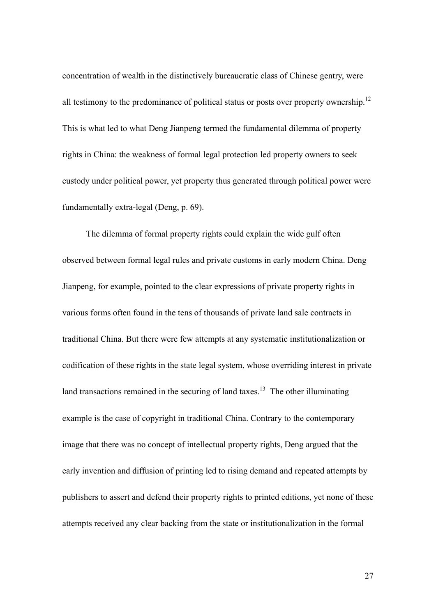concentration of wealth in the distinctively bureaucratic class of Chinese gentry, were all testimony to the predominance of political status or posts over property ownership.<sup>12</sup> This is what led to what Deng Jianpeng termed the fundamental dilemma of property rights in China: the weakness of formal legal protection led property owners to seek custody under political power, yet property thus generated through political power were fundamentally extra-legal (Deng, p. 69).

The dilemma of formal property rights could explain the wide gulf often observed between formal legal rules and private customs in early modern China. Deng Jianpeng, for example, pointed to the clear expressions of private property rights in various forms often found in the tens of thousands of private land sale contracts in traditional China. But there were few attempts at any systematic institutionalization or codification of these rights in the state legal system, whose overriding interest in private land transactions remained in the securing of land taxes.<sup>13</sup> The other illuminating example is the case of copyright in traditional China. Contrary to the contemporary image that there was no concept of intellectual property rights, Deng argued that the early invention and diffusion of printing led to rising demand and repeated attempts by publishers to assert and defend their property rights to printed editions, yet none of these attempts received any clear backing from the state or institutionalization in the formal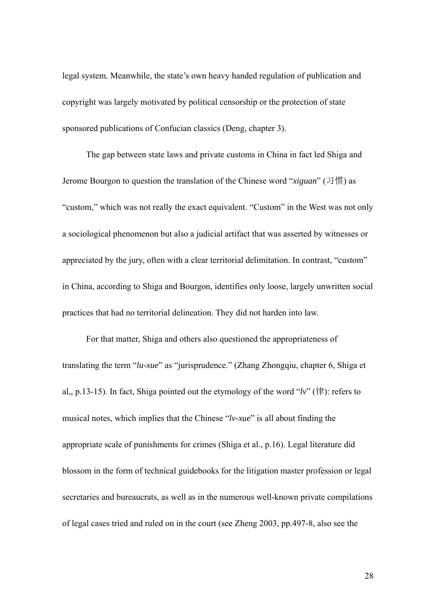legal system. Meanwhile, the state's own heavy handed regulation of publication and copyright was largely motivated by political censorship or the protection of state sponsored publications of Confucian classics (Deng, chapter 3).

The gap between state laws and private customs in China in fact led Shiga and Jerome Bourgon to question the translation of the Chinese word "*xiguan*" (习惯) as "custom," which was not really the exact equivalent. "Custom" in the West was not only a sociological phenomenon but also a judicial artifact that was asserted by witnesses or appreciated by the jury, often with a clear territorial delimitation. In contrast, "custom" in China, according to Shiga and Bourgon, identifies only loose, largely unwritten social practices that had no territorial delineation. They did not harden into law.

For that matter, Shiga and others also questioned the appropriateness of translating the term "*lu-xue*" as "jurisprudence." (Zhang Zhongqiu, chapter 6, Shiga et al,, p.13-15). In fact, Shiga pointed out the etymology of the word "*lv*" (律): refers to musical notes, which implies that the Chinese "*lv-xue*" is all about finding the appropriate scale of punishments for crimes (Shiga et al., p.16). Legal literature did blossom in the form of technical guidebooks for the litigation master profession or legal secretaries and bureaucrats, as well as in the numerous well-known private compilations of legal cases tried and ruled on in the court (see Zheng 2003, pp.497-8, also see the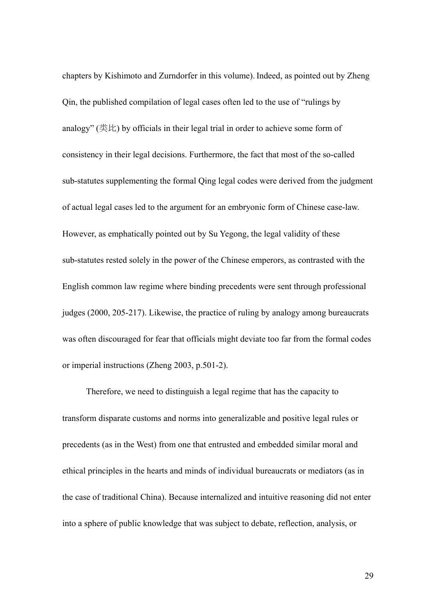chapters by Kishimoto and Zurndorfer in this volume). Indeed, as pointed out by Zheng Qin, the published compilation of legal cases often led to the use of "rulings by analogy" (类比) by officials in their legal trial in order to achieve some form of consistency in their legal decisions. Furthermore, the fact that most of the so-called sub-statutes supplementing the formal Qing legal codes were derived from the judgment of actual legal cases led to the argument for an embryonic form of Chinese case-law. However, as emphatically pointed out by Su Yegong, the legal validity of these sub-statutes rested solely in the power of the Chinese emperors, as contrasted with the English common law regime where binding precedents were sent through professional judges (2000, 205-217). Likewise, the practice of ruling by analogy among bureaucrats was often discouraged for fear that officials might deviate too far from the formal codes or imperial instructions (Zheng 2003, p.501-2).

Therefore, we need to distinguish a legal regime that has the capacity to transform disparate customs and norms into generalizable and positive legal rules or precedents (as in the West) from one that entrusted and embedded similar moral and ethical principles in the hearts and minds of individual bureaucrats or mediators (as in the case of traditional China). Because internalized and intuitive reasoning did not enter into a sphere of public knowledge that was subject to debate, reflection, analysis, or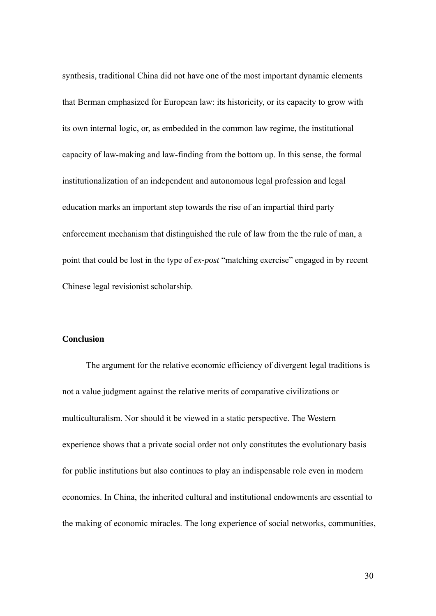synthesis, traditional China did not have one of the most important dynamic elements that Berman emphasized for European law: its historicity, or its capacity to grow with its own internal logic, or, as embedded in the common law regime, the institutional capacity of law-making and law-finding from the bottom up. In this sense, the formal institutionalization of an independent and autonomous legal profession and legal education marks an important step towards the rise of an impartial third party enforcement mechanism that distinguished the rule of law from the the rule of man, a point that could be lost in the type of *ex-post* "matching exercise" engaged in by recent Chinese legal revisionist scholarship.

#### **Conclusion**

The argument for the relative economic efficiency of divergent legal traditions is not a value judgment against the relative merits of comparative civilizations or multiculturalism. Nor should it be viewed in a static perspective. The Western experience shows that a private social order not only constitutes the evolutionary basis for public institutions but also continues to play an indispensable role even in modern economies. In China, the inherited cultural and institutional endowments are essential to the making of economic miracles. The long experience of social networks, communities,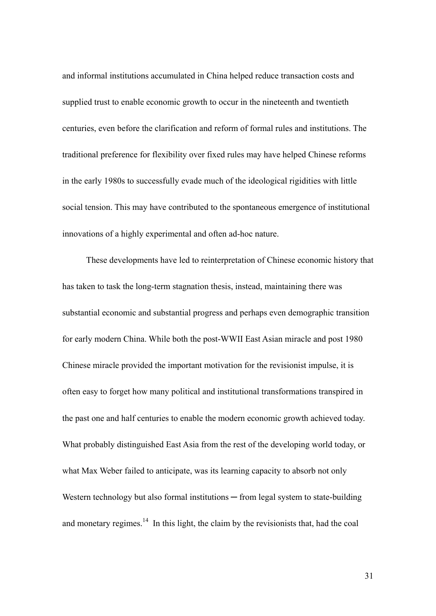and informal institutions accumulated in China helped reduce transaction costs and supplied trust to enable economic growth to occur in the nineteenth and twentieth centuries, even before the clarification and reform of formal rules and institutions. The traditional preference for flexibility over fixed rules may have helped Chinese reforms in the early 1980s to successfully evade much of the ideological rigidities with little social tension. This may have contributed to the spontaneous emergence of institutional innovations of a highly experimental and often ad-hoc nature.

These developments have led to reinterpretation of Chinese economic history that has taken to task the long-term stagnation thesis, instead, maintaining there was substantial economic and substantial progress and perhaps even demographic transition for early modern China. While both the post-WWII East Asian miracle and post 1980 Chinese miracle provided the important motivation for the revisionist impulse, it is often easy to forget how many political and institutional transformations transpired in the past one and half centuries to enable the modern economic growth achieved today. What probably distinguished East Asia from the rest of the developing world today, or what Max Weber failed to anticipate, was its learning capacity to absorb not only Western technology but also formal institutions  $-$  from legal system to state-building and monetary regimes.<sup>14</sup> In this light, the claim by the revisionists that, had the coal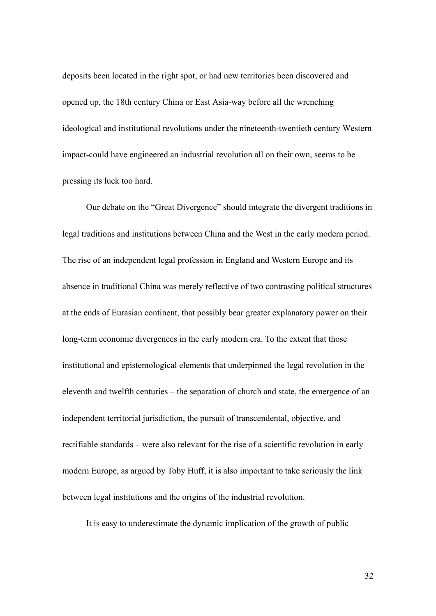deposits been located in the right spot, or had new territories been discovered and opened up, the 18th century China or East Asia-way before all the wrenching ideological and institutional revolutions under the nineteenth-twentieth century Western impact-could have engineered an industrial revolution all on their own, seems to be pressing its luck too hard.

Our debate on the "Great Divergence" should integrate the divergent traditions in legal traditions and institutions between China and the West in the early modern period. The rise of an independent legal profession in England and Western Europe and its absence in traditional China was merely reflective of two contrasting political structures at the ends of Eurasian continent, that possibly bear greater explanatory power on their long-term economic divergences in the early modern era. To the extent that those institutional and epistemological elements that underpinned the legal revolution in the eleventh and twelfth centuries – the separation of church and state, the emergence of an independent territorial jurisdiction, the pursuit of transcendental, objective, and rectifiable standards – were also relevant for the rise of a scientific revolution in early modern Europe, as argued by Toby Huff, it is also important to take seriously the link between legal institutions and the origins of the industrial revolution.

It is easy to underestimate the dynamic implication of the growth of public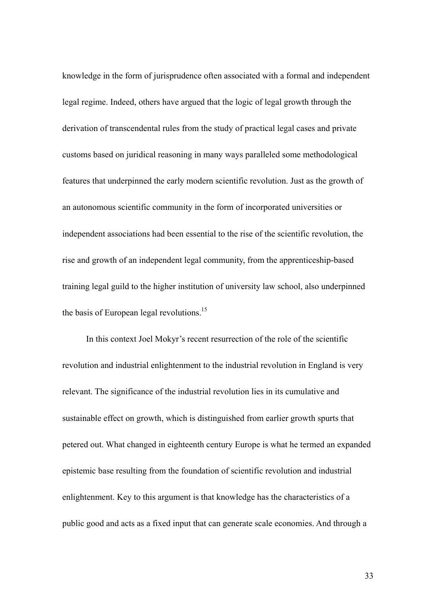knowledge in the form of jurisprudence often associated with a formal and independent legal regime. Indeed, others have argued that the logic of legal growth through the derivation of transcendental rules from the study of practical legal cases and private customs based on juridical reasoning in many ways paralleled some methodological features that underpinned the early modern scientific revolution. Just as the growth of an autonomous scientific community in the form of incorporated universities or independent associations had been essential to the rise of the scientific revolution, the rise and growth of an independent legal community, from the apprenticeship-based training legal guild to the higher institution of university law school, also underpinned the basis of European legal revolutions.<sup>15</sup>

In this context Joel Mokyr's recent resurrection of the role of the scientific revolution and industrial enlightenment to the industrial revolution in England is very relevant. The significance of the industrial revolution lies in its cumulative and sustainable effect on growth, which is distinguished from earlier growth spurts that petered out. What changed in eighteenth century Europe is what he termed an expanded epistemic base resulting from the foundation of scientific revolution and industrial enlightenment. Key to this argument is that knowledge has the characteristics of a public good and acts as a fixed input that can generate scale economies. And through a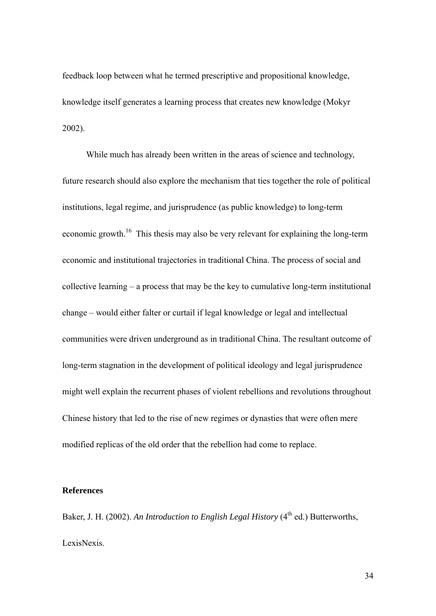feedback loop between what he termed prescriptive and propositional knowledge, knowledge itself generates a learning process that creates new knowledge (Mokyr 2002).

While much has already been written in the areas of science and technology, future research should also explore the mechanism that ties together the role of political institutions, legal regime, and jurisprudence (as public knowledge) to long-term economic growth.<sup>16</sup> This thesis may also be very relevant for explaining the long-term economic and institutional trajectories in traditional China. The process of social and collective learning – a process that may be the key to cumulative long-term institutional change – would either falter or curtail if legal knowledge or legal and intellectual communities were driven underground as in traditional China. The resultant outcome of long-term stagnation in the development of political ideology and legal jurisprudence might well explain the recurrent phases of violent rebellions and revolutions throughout Chinese history that led to the rise of new regimes or dynasties that were often mere modified replicas of the old order that the rebellion had come to replace.

#### **References**

Baker, J. H. (2002). *An Introduction to English Legal History* (4<sup>th</sup> ed.) Butterworths, LexisNexis.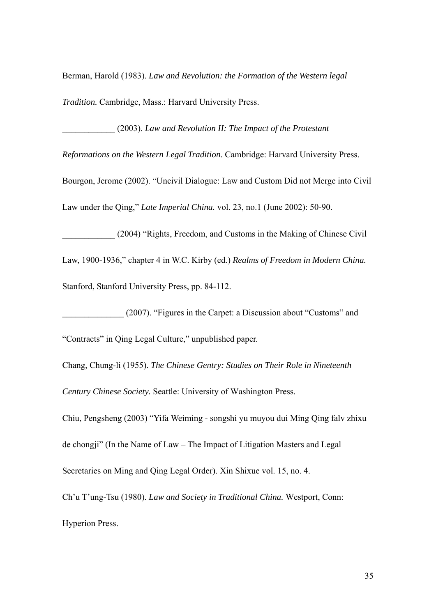Berman, Harold (1983). *Law and Revolution: the Formation of the Western legal Tradition.* Cambridge, Mass.: Harvard University Press.

\_\_\_\_\_\_\_\_\_\_\_\_ (2003). *Law and Revolution II: The Impact of the Protestant* 

*Reformations on the Western Legal Tradition.* Cambridge: Harvard University Press.

Bourgon, Jerome (2002). "Uncivil Dialogue: Law and Custom Did not Merge into Civil Law under the Qing," *Late Imperial China.* vol. 23, no.1 (June 2002): 50-90.

\_\_\_\_\_\_\_\_\_\_\_\_ (2004) "Rights, Freedom, and Customs in the Making of Chinese Civil Law, 1900-1936," chapter 4 in W.C. Kirby (ed.) *Realms of Freedom in Modern China.*  Stanford, Stanford University Press, pp. 84-112.

\_\_\_\_\_\_\_\_\_\_\_\_\_\_ (2007). "Figures in the Carpet: a Discussion about "Customs" and

"Contracts" in Qing Legal Culture," unpublished paper.

Chang, Chung-li (1955). *The Chinese Gentry: Studies on Their Role in Nineteenth Century Chinese Society.* Seattle: University of Washington Press.

Chiu, Pengsheng (2003) "Yifa Weiming - songshi yu muyou dui Ming Qing falv zhixu de chongji" (In the Name of Law – The Impact of Litigation Masters and Legal Secretaries on Ming and Qing Legal Order). Xin Shixue vol. 15, no. 4.

Ch'u T'ung-Tsu (1980). *Law and Society in Traditional China.* Westport, Conn:

Hyperion Press.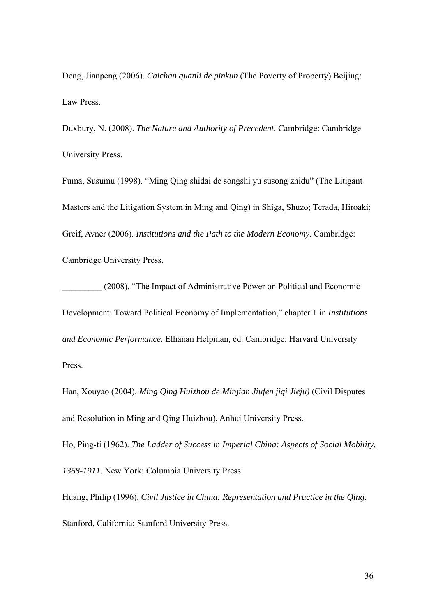Deng, Jianpeng (2006). *Caichan quanli de pinkun* (The Poverty of Property) Beijing: Law Press.

Duxbury, N. (2008). *The Nature and Authority of Precedent.* Cambridge: Cambridge University Press.

Fuma, Susumu (1998). "Ming Qing shidai de songshi yu susong zhidu" (The Litigant Masters and the Litigation System in Ming and Qing) in Shiga, Shuzo; Terada, Hiroaki; Greif, Avner (2006). *Institutions and the Path to the Modern Economy*. Cambridge: Cambridge University Press.

\_\_\_\_\_\_\_\_\_ (2008). "The Impact of Administrative Power on Political and Economic Development: Toward Political Economy of Implementation," chapter 1 in *Institutions and Economic Performance.* Elhanan Helpman, ed. Cambridge: Harvard University Press.

Han, Xouyao (2004). *Ming Qing Huizhou de Minjian Jiufen jiqi Jieju)* (Civil Disputes and Resolution in Ming and Qing Huizhou), Anhui University Press.

Ho, Ping-ti (1962). *The Ladder of Success in Imperial China: Aspects of Social Mobility, 1368-1911.* New York: Columbia University Press.

Huang, Philip (1996). *Civil Justice in China: Representation and Practice in the Qing.*  Stanford, California: Stanford University Press.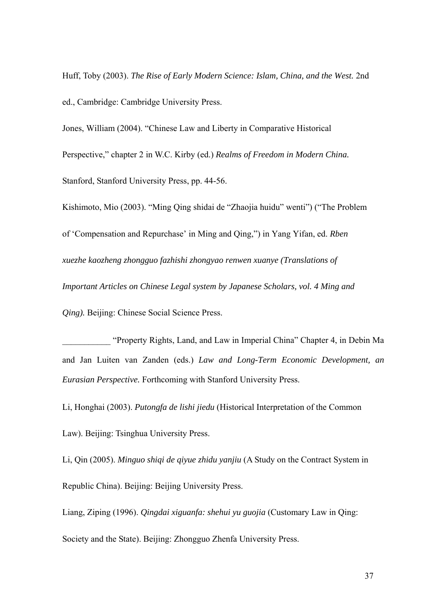Huff, Toby (2003). *The Rise of Early Modern Science: Islam, China, and the West.* 2nd ed., Cambridge: Cambridge University Press.

Jones, William (2004). "Chinese Law and Liberty in Comparative Historical Perspective," chapter 2 in W.C. Kirby (ed.) *Realms of Freedom in Modern China.*  Stanford, Stanford University Press, pp. 44-56.

Kishimoto, Mio (2003). "Ming Qing shidai de "Zhaojia huidu" wenti") ("The Problem of 'Compensation and Repurchase' in Ming and Qing,") in Yang Yifan, ed. *Rben xuezhe kaozheng zhongguo fazhishi zhongyao renwen xuanye (Translations of Important Articles on Chinese Legal system by Japanese Scholars, vol. 4 Ming and Qing).* Beijing: Chinese Social Science Press.

\_\_\_\_\_\_\_\_\_\_\_ "Property Rights, Land, and Law in Imperial China" Chapter 4, in Debin Ma and Jan Luiten van Zanden (eds.) *Law and Long-Term Economic Development, an Eurasian Perspective.* Forthcoming with Stanford University Press.

Li, Honghai (2003). *Putongfa de lishi jiedu* (Historical Interpretation of the Common

Law). Beijing: Tsinghua University Press.

Li, Qin (2005). *Minguo shiqi de qiyue zhidu yanjiu* (A Study on the Contract System in Republic China). Beijing: Beijing University Press.

Liang, Ziping (1996). *Qingdai xiguanfa: shehui yu guojia* (Customary Law in Qing:

Society and the State). Beijing: Zhongguo Zhenfa University Press.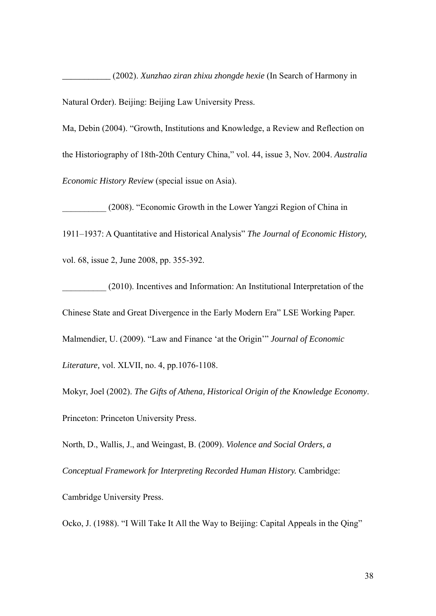*\_\_\_\_\_\_\_\_\_\_\_* (2002). *Xunzhao ziran zhixu zhongde hexie* (In Search of Harmony in Natural Order). Beijing: Beijing Law University Press.

Ma, Debin (2004). "Growth, Institutions and Knowledge, a Review and Reflection on the Historiography of 18th-20th Century China," vol. 44, issue 3, Nov. 2004. *Australia Economic History Review* (special issue on Asia).

\_\_\_\_\_\_\_\_\_\_ (2008). "Economic Growth in the Lower Yangzi Region of China in 1911–1937: A Quantitative and Historical Analysis" *The Journal of Economic History,*  vol. 68, issue 2, June 2008, pp. 355-392.

(2010). Incentives and Information: An Institutional Interpretation of the Chinese State and Great Divergence in the Early Modern Era" LSE Working Paper. Malmendier, U. (2009). "Law and Finance 'at the Origin'" *Journal of Economic Literature,* vol. XLVII, no. 4, pp.1076-1108.

Mokyr, Joel (2002). *The Gifts of Athena, Historical Origin of the Knowledge Economy*. Princeton: Princeton University Press.

North, D., Wallis, J., and Weingast, B. (2009). *Violence and Social Orders, a* 

*Conceptual Framework for Interpreting Recorded Human History.* Cambridge:

Cambridge University Press.

Ocko, J. (1988). "I Will Take It All the Way to Beijing: Capital Appeals in the Qing"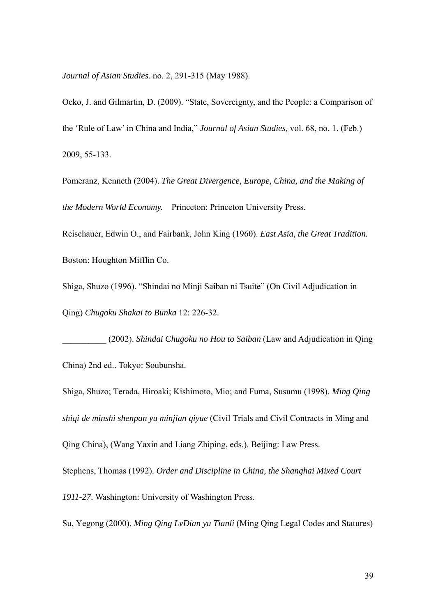*Journal of Asian Studies.* no. 2, 291-315 (May 1988).

Ocko, J. and Gilmartin, D. (2009). "State, Sovereignty, and the People: a Comparison of the 'Rule of Law' in China and India," *Journal of Asian Studies,* vol. 68, no. 1. (Feb.) 2009, 55-133.

Pomeranz, Kenneth (2004). *The Great Divergence, Europe, China, and the Making of the Modern World Economy.* Princeton: Princeton University Press.

Reischauer, Edwin O., and Fairbank, John King (1960). *East Asia, the Great Tradition.*  Boston: Houghton Mifflin Co.

Shiga, Shuzo (1996). "Shindai no Minji Saiban ni Tsuite" (On Civil Adjudication in Qing) *Chugoku Shakai to Bunka* 12: 226-32.

\_\_\_\_\_\_\_\_\_\_ (2002). *Shindai Chugoku no Hou to Saiban* (Law and Adjudication in Qing China) 2nd ed.. Tokyo: Soubunsha.

Shiga, Shuzo; Terada, Hiroaki; Kishimoto, Mio; and Fuma, Susumu (1998). *Ming Qing shiqi de minshi shenpan yu minjian qiyue* (Civil Trials and Civil Contracts in Ming and Qing China), (Wang Yaxin and Liang Zhiping, eds.). Beijing: Law Press.

Stephens, Thomas (1992). *Order and Discipline in China, the Shanghai Mixed Court* 

*1911-27*. Washington: University of Washington Press.

Su, Yegong (2000). *Ming Qing LvDian yu Tianli* (Ming Qing Legal Codes and Statures)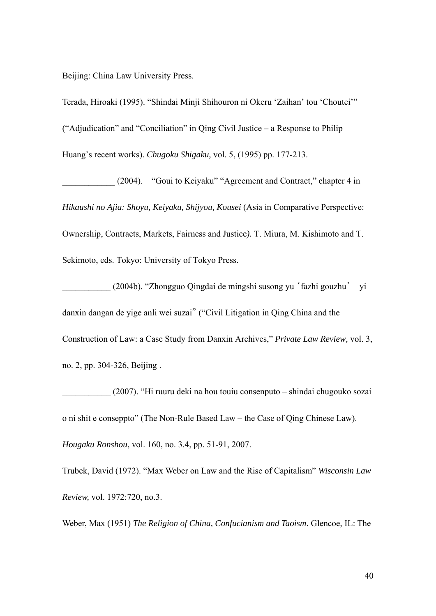Beijing: China Law University Press.

Terada, Hiroaki (1995). "Shindai Minji Shihouron ni Okeru 'Zaihan' tou 'Choutei'" ("Adjudication" and "Conciliation" in Qing Civil Justice – a Response to Philip Huang's recent works). *Chugoku Shigaku,* vol. 5, (1995) pp. 177-213.

\_\_\_\_\_\_\_\_\_\_\_\_ (2004). "Goui to Keiyaku" "Agreement and Contract," chapter 4 in *Hikaushi no Ajia: Shoyu, Keiyaku, Shijyou, Kousei* (Asia in Comparative Perspective: Ownership, Contracts, Markets, Fairness and Justice*).* T. Miura, M. Kishimoto and T. Sekimoto, eds. Tokyo: University of Tokyo Press.

\_\_\_\_\_\_\_\_\_\_\_ (2004b). "Zhongguo Qingdai de mingshi susong yu 'fazhi gouzhu' – yi danxin dangan de yige anli wei suzai" ("Civil Litigation in Qing China and the Construction of Law: a Case Study from Danxin Archives," *Private Law Review,* vol. 3, no. 2, pp. 304-326, Beijing .

\_\_\_\_\_\_\_\_\_\_\_ (2007). "Hi ruuru deki na hou touiu consenputo – shindai chugouko sozai o ni shit e conseppto" (The Non-Rule Based Law – the Case of Qing Chinese Law). *Hougaku Ronshou*, vol. 160, no. 3.4, pp. 51-91, 2007.

Trubek, David (1972). "Max Weber on Law and the Rise of Capitalism" *Wisconsin Law Review,* vol. 1972:720, no.3.

Weber, Max (1951) *The Religion of China, Confucianism and Taoism*. Glencoe, IL: The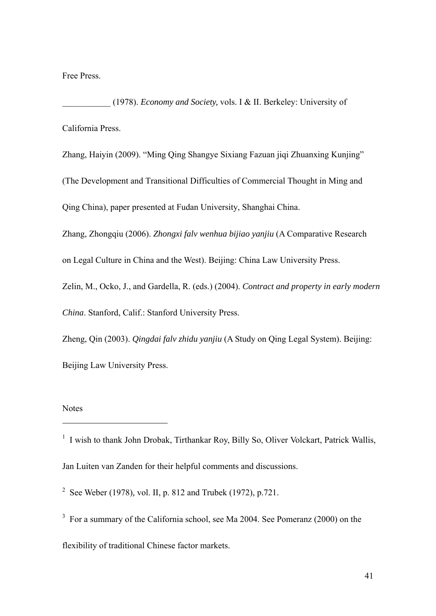Free Press.

\_\_\_\_\_\_\_\_\_\_\_ (1978). *Economy and Society,* vols. I & II. Berkeley: University of California Press.

Zhang, Haiyin (2009). "Ming Qing Shangye Sixiang Fazuan jiqi Zhuanxing Kunjing" (The Development and Transitional Difficulties of Commercial Thought in Ming and Qing China), paper presented at Fudan University, Shanghai China.

Zhang, Zhongqiu (2006). *Zhongxi falv wenhua bijiao yanjiu* (A Comparative Research

on Legal Culture in China and the West). Beijing: China Law University Press.

Zelin, M., Ocko, J., and Gardella, R. (eds.) (2004). *Contract and property in early modern China*. Stanford, Calif.: Stanford University Press.

Zheng, Qin (2003). *Qingdai falv zhidu yanjiu* (A Study on Qing Legal System). Beijing: Beijing Law University Press.

#### Notes

<sup>1</sup> I wish to thank John Drobak, Tirthankar Roy, Billy So, Oliver Volckart, Patrick Wallis, Jan Luiten van Zanden for their helpful comments and discussions.

2 See Weber (1978)*,* vol. II, p. 812 and Trubek (1972), p.721.

 $3$  For a summary of the California school, see Ma 2004. See Pomeranz (2000) on the flexibility of traditional Chinese factor markets.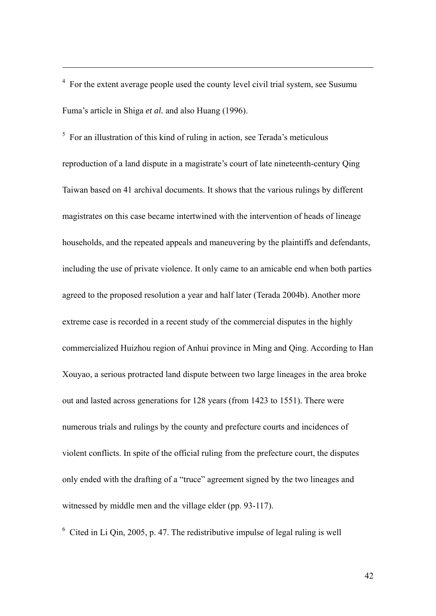<sup>4</sup> For the extent average people used the county level civil trial system, see Susumu Fuma's article in Shiga *et al.* and also Huang (1996).

 $5$  For an illustration of this kind of ruling in action, see Terada's meticulous reproduction of a land dispute in a magistrate's court of late nineteenth-century Qing Taiwan based on 41 archival documents. It shows that the various rulings by different magistrates on this case became intertwined with the intervention of heads of lineage households, and the repeated appeals and maneuvering by the plaintiffs and defendants, including the use of private violence. It only came to an amicable end when both parties agreed to the proposed resolution a year and half later (Terada 2004b). Another more extreme case is recorded in a recent study of the commercial disputes in the highly commercialized Huizhou region of Anhui province in Ming and Qing. According to Han Xouyao, a serious protracted land dispute between two large lineages in the area broke out and lasted across generations for 128 years (from 1423 to 1551). There were numerous trials and rulings by the county and prefecture courts and incidences of violent conflicts. In spite of the official ruling from the prefecture court, the disputes only ended with the drafting of a "truce" agreement signed by the two lineages and witnessed by middle men and the village elder (pp. 93-117).

 $6$  Cited in Li Qin, 2005, p. 47. The redistributive impulse of legal ruling is well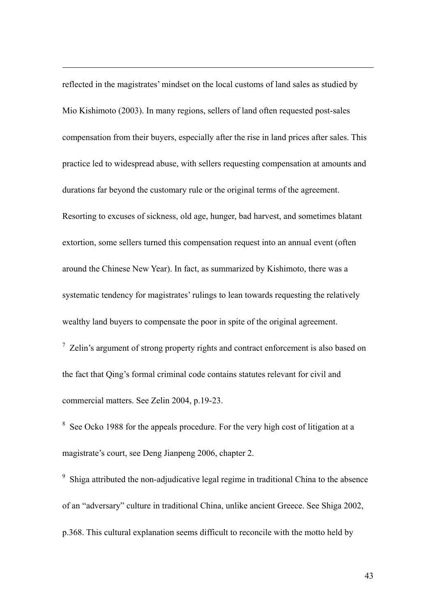reflected in the magistrates' mindset on the local customs of land sales as studied by Mio Kishimoto (2003). In many regions, sellers of land often requested post-sales compensation from their buyers, especially after the rise in land prices after sales. This practice led to widespread abuse, with sellers requesting compensation at amounts and durations far beyond the customary rule or the original terms of the agreement. Resorting to excuses of sickness, old age, hunger, bad harvest, and sometimes blatant extortion, some sellers turned this compensation request into an annual event (often around the Chinese New Year). In fact, as summarized by Kishimoto, there was a systematic tendency for magistrates' rulings to lean towards requesting the relatively wealthy land buyers to compensate the poor in spite of the original agreement.

 $\frac{7}{7}$  Zelin's argument of strong property rights and contract enforcement is also based on the fact that Qing's formal criminal code contains statutes relevant for civil and commercial matters. See Zelin 2004, p.19-23.

<sup>8</sup> See Ocko 1988 for the appeals procedure. For the very high cost of litigation at a magistrate's court, see Deng Jianpeng 2006, chapter 2.

<sup>9</sup> Shiga attributed the non-adjudicative legal regime in traditional China to the absence of an "adversary" culture in traditional China, unlike ancient Greece. See Shiga 2002, p.368. This cultural explanation seems difficult to reconcile with the motto held by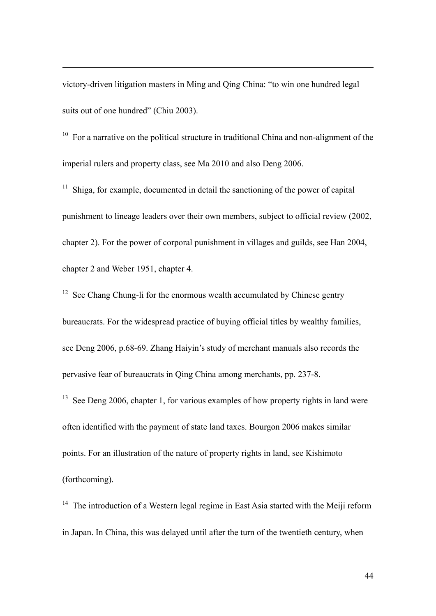victory-driven litigation masters in Ming and Qing China: "to win one hundred legal suits out of one hundred" (Chiu 2003).

 $10<sup>10</sup>$  For a narrative on the political structure in traditional China and non-alignment of the imperial rulers and property class, see Ma 2010 and also Deng 2006.

 $11$  Shiga, for example, documented in detail the sanctioning of the power of capital punishment to lineage leaders over their own members, subject to official review (2002, chapter 2). For the power of corporal punishment in villages and guilds, see Han 2004, chapter 2 and Weber 1951, chapter 4.

 $12$  See Chang Chung-li for the enormous wealth accumulated by Chinese gentry bureaucrats. For the widespread practice of buying official titles by wealthy families, see Deng 2006, p.68-69. Zhang Haiyin's study of merchant manuals also records the pervasive fear of bureaucrats in Qing China among merchants, pp. 237-8.

 $13$  See Deng 2006, chapter 1, for various examples of how property rights in land were often identified with the payment of state land taxes. Bourgon 2006 makes similar points. For an illustration of the nature of property rights in land, see Kishimoto (forthcoming).

 $14$  The introduction of a Western legal regime in East Asia started with the Meiji reform in Japan. In China, this was delayed until after the turn of the twentieth century, when